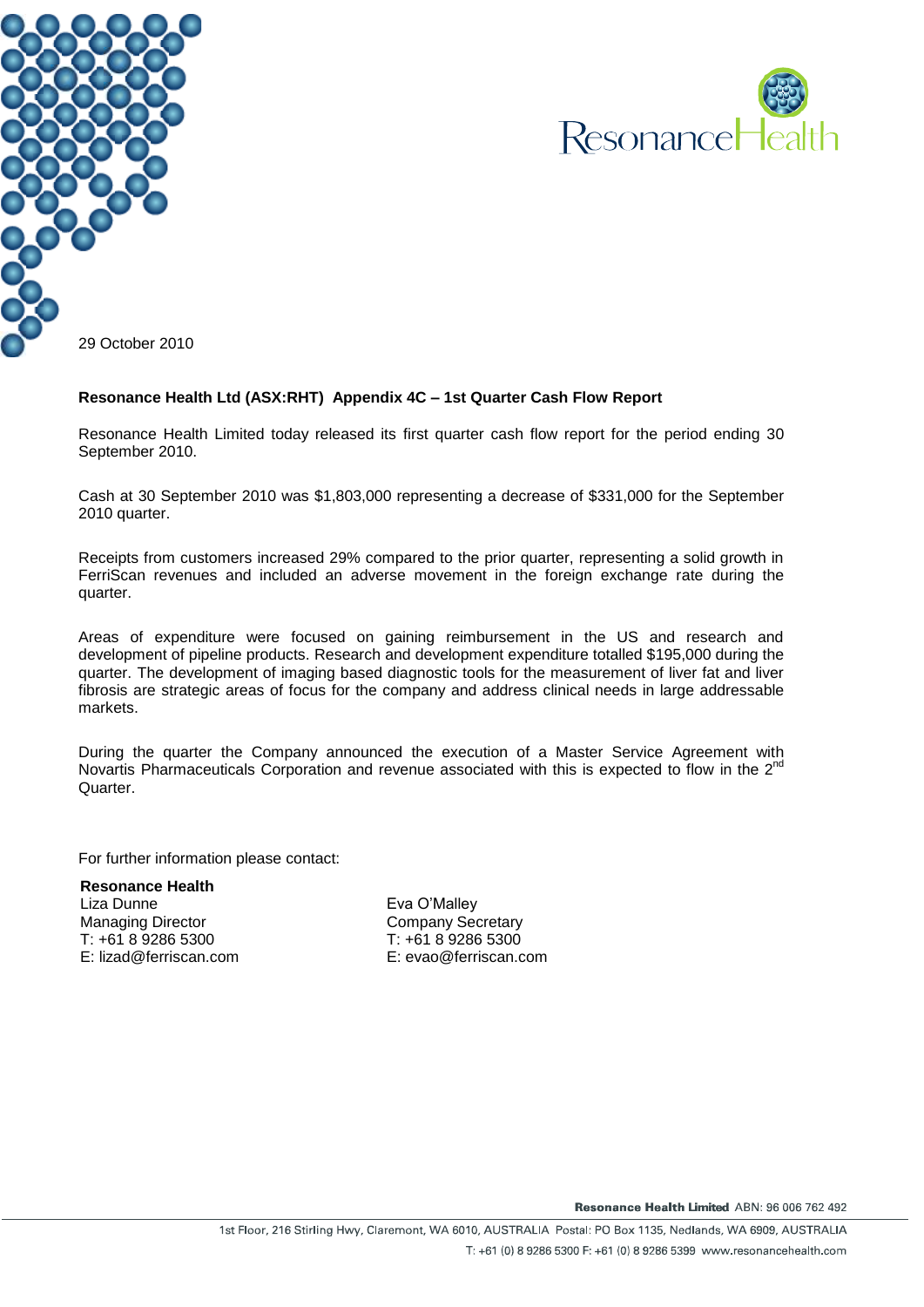



29 October 2010

#### **Resonance Health Ltd (ASX:RHT) Appendix 4C – 1st Quarter Cash Flow Report**

Resonance Health Limited today released its first quarter cash flow report for the period ending 30 September 2010.

Cash at 30 September 2010 was \$1,803,000 representing a decrease of \$331,000 for the September 2010 quarter.

Receipts from customers increased 29% compared to the prior quarter, representing a solid growth in FerriScan revenues and included an adverse movement in the foreign exchange rate during the quarter.

Areas of expenditure were focused on gaining reimbursement in the US and research and development of pipeline products. Research and development expenditure totalled \$195,000 during the quarter. The development of imaging based diagnostic tools for the measurement of liver fat and liver fibrosis are strategic areas of focus for the company and address clinical needs in large addressable markets.

During the quarter the Company announced the execution of a Master Service Agreement with Novartis Pharmaceuticals Corporation and revenue associated with this is expected to flow in the  $2^{nd}$ Quarter.

For further information please contact:

#### **Resonance Health**

Liza Dunne Managing Director T: +61 8 9286 5300 E: lizad@ferriscan.com Eva O'Malley Company Secretary T: +61 8 9286 5300 E: evao@ferriscan.com

Resonance Health Limited ABN: 96 006 762 492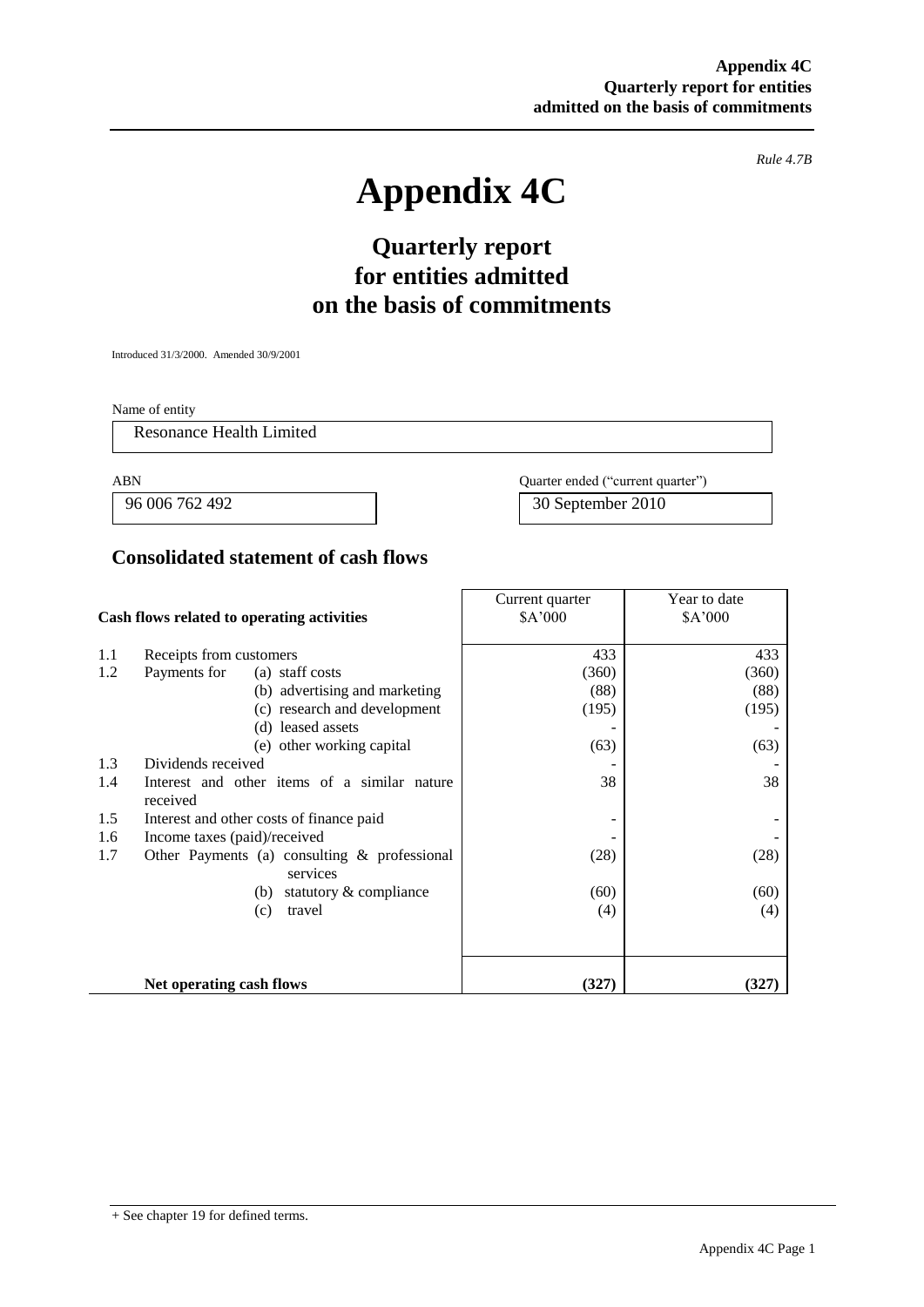*Rule 4.7B*

# **Appendix 4C**

# **Quarterly report for entities admitted on the basis of commitments**

Introduced 31/3/2000. Amended 30/9/2001

Name of entity

Resonance Health Limited

ABN Quarter ended ("current quarter")

96 006 762 492 30 September 2010

## **Consolidated statement of cash flows**

| Cash flows related to operating activities |                                                          |                                                             | Current quarter<br>\$A'000 | Year to date<br>\$A'000 |
|--------------------------------------------|----------------------------------------------------------|-------------------------------------------------------------|----------------------------|-------------------------|
|                                            |                                                          |                                                             |                            |                         |
| 1.1                                        | Receipts from customers                                  |                                                             | 433                        | 433                     |
| 1.2                                        | Payments for                                             | (a) staff costs                                             | (360)                      | (360)                   |
|                                            |                                                          | (b) advertising and marketing                               | (88)                       | (88)                    |
|                                            |                                                          | (c) research and development                                | (195)                      | (195)                   |
|                                            |                                                          | (d) leased assets                                           |                            |                         |
|                                            |                                                          | (e) other working capital                                   | (63)                       | (63)                    |
| 1.3                                        | Dividends received                                       |                                                             |                            |                         |
| 1.4                                        | Interest and other items of a similar nature<br>received |                                                             | 38                         | 38                      |
| 1.5                                        | Interest and other costs of finance paid                 |                                                             |                            |                         |
| 1.6                                        | Income taxes (paid)/received                             |                                                             |                            |                         |
| 1.7                                        |                                                          | Other Payments (a) consulting $\&$ professional<br>services | (28)                       | (28)                    |
|                                            |                                                          | statutory & compliance<br>(b)                               | (60)                       | (60)                    |
|                                            |                                                          | (c)<br>travel                                               | (4)                        | (4)                     |
|                                            |                                                          |                                                             |                            |                         |
|                                            | Net operating cash flows                                 |                                                             | (327)                      | (327)                   |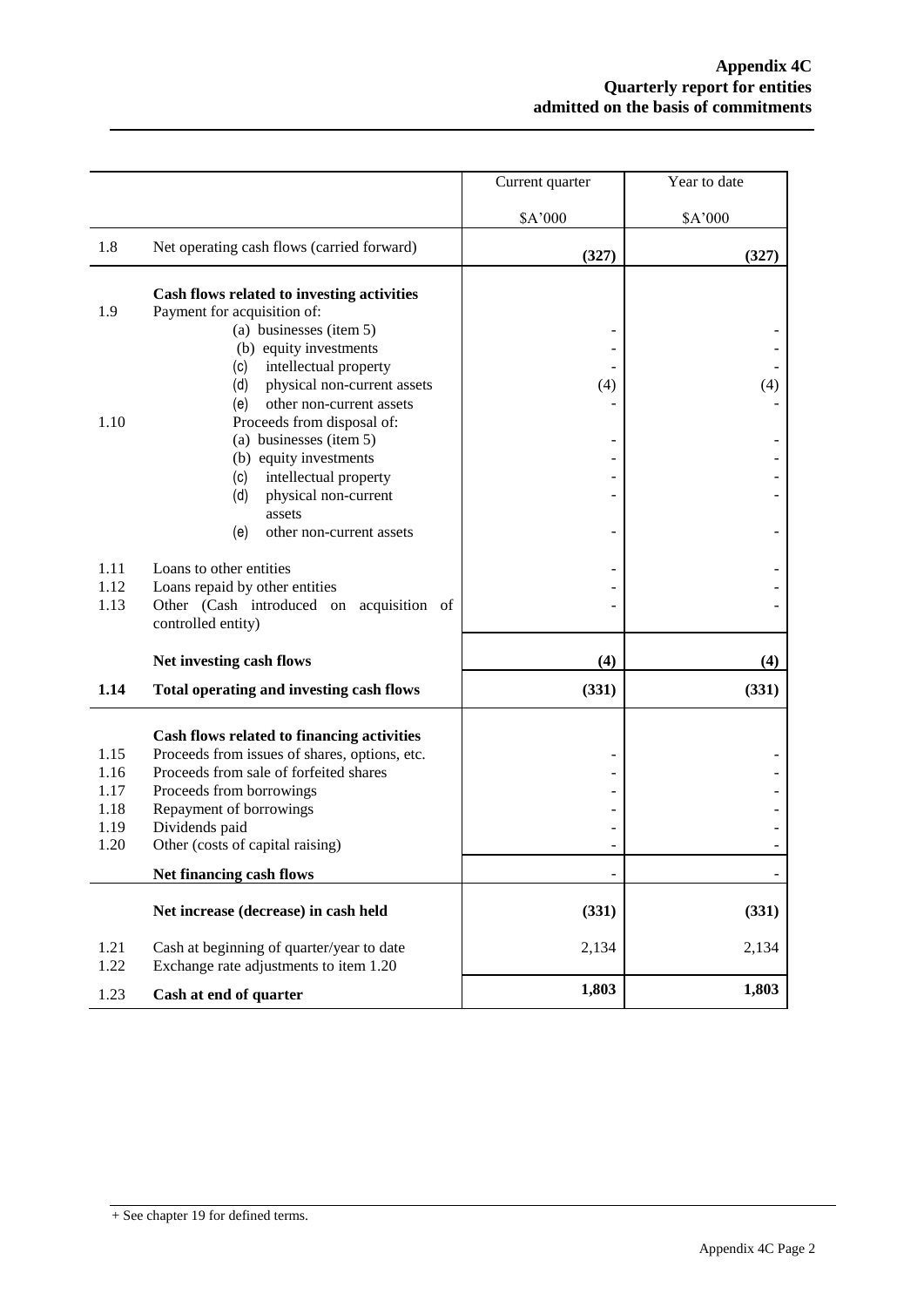|              |                                                                                         | Current quarter | Year to date |
|--------------|-----------------------------------------------------------------------------------------|-----------------|--------------|
|              |                                                                                         |                 |              |
|              |                                                                                         | \$A'000         | \$A'000      |
| 1.8          | Net operating cash flows (carried forward)                                              | (327)           | (327)        |
|              |                                                                                         |                 |              |
|              | Cash flows related to investing activities                                              |                 |              |
| 1.9          | Payment for acquisition of:                                                             |                 |              |
|              | (a) businesses (item 5)                                                                 |                 |              |
|              | (b) equity investments<br>intellectual property<br>(c)                                  |                 |              |
|              | physical non-current assets<br>(d)                                                      | (4)             | (4)          |
|              | other non-current assets<br>(e)                                                         |                 |              |
| 1.10         | Proceeds from disposal of:                                                              |                 |              |
|              | (a) businesses (item 5)                                                                 |                 |              |
|              | (b) equity investments                                                                  |                 |              |
|              | intellectual property<br>(c)                                                            |                 |              |
|              | physical non-current<br>(d)                                                             |                 |              |
|              | assets                                                                                  |                 |              |
|              | (e)<br>other non-current assets                                                         |                 |              |
| 1.11         | Loans to other entities                                                                 |                 |              |
| 1.12         | Loans repaid by other entities                                                          |                 |              |
| 1.13         | Other (Cash introduced on acquisition of                                                |                 |              |
|              | controlled entity)                                                                      |                 |              |
|              | Net investing cash flows                                                                | (4)             | (4)          |
|              |                                                                                         |                 |              |
| 1.14         | Total operating and investing cash flows                                                | (331)           | (331)        |
|              |                                                                                         |                 |              |
|              | Cash flows related to financing activities                                              |                 |              |
| 1.15<br>1.16 | Proceeds from issues of shares, options, etc.<br>Proceeds from sale of forfeited shares |                 |              |
| 1.17         | Proceeds from borrowings                                                                |                 |              |
| 1.18         | Repayment of borrowings                                                                 |                 |              |
| 1.19         | Dividends paid                                                                          |                 |              |
| 1.20         | Other (costs of capital raising)                                                        |                 |              |
|              | Net financing cash flows                                                                |                 | -            |
|              |                                                                                         |                 |              |
|              | Net increase (decrease) in cash held                                                    | (331)           | (331)        |
| 1.21         | Cash at beginning of quarter/year to date                                               | 2,134           | 2,134        |
| 1.22         | Exchange rate adjustments to item 1.20                                                  |                 |              |
| 1.23         |                                                                                         | 1,803           | 1,803        |
|              | Cash at end of quarter                                                                  |                 |              |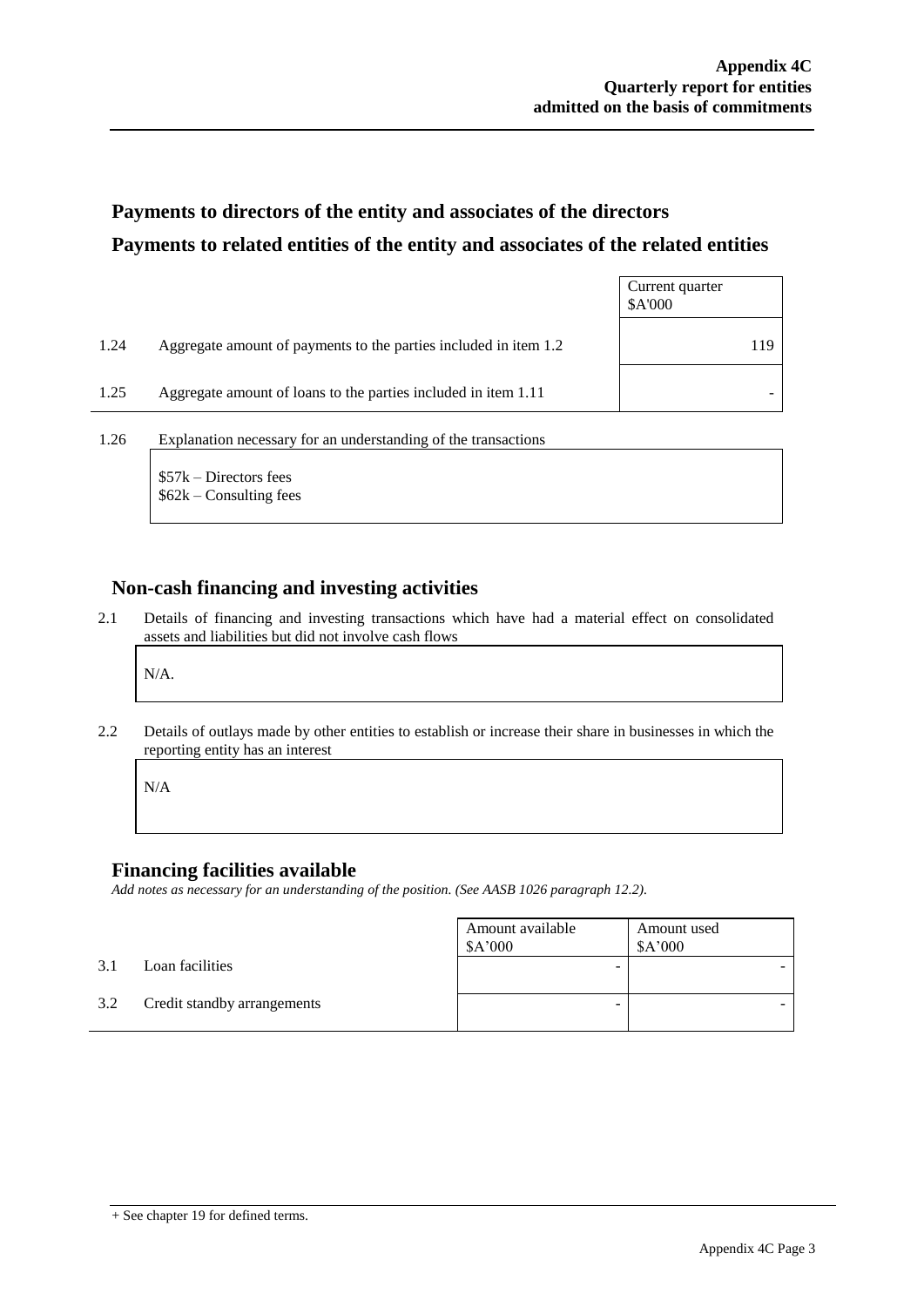## **Payments to directors of the entity and associates of the directors Payments to related entities of the entity and associates of the related entities**

|      |                                                                  | Current quarter<br>\$A'000 |
|------|------------------------------------------------------------------|----------------------------|
| 1.24 | Aggregate amount of payments to the parties included in item 1.2 | 119                        |
| 1.25 | Aggregate amount of loans to the parties included in item 1.11   |                            |
|      |                                                                  |                            |

1.26 Explanation necessary for an understanding of the transactions

\$57k – Directors fees \$62k – Consulting fees

#### **Non-cash financing and investing activities**

2.1 Details of financing and investing transactions which have had a material effect on consolidated assets and liabilities but did not involve cash flows

N/A.

2.2 Details of outlays made by other entities to establish or increase their share in businesses in which the reporting entity has an interest

N/A

#### **Financing facilities available**

*Add notes as necessary for an understanding of the position. (See AASB 1026 paragraph 12.2).*

|     |                             | Amount available<br>\$A'000 | Amount used<br>\$A'000 |
|-----|-----------------------------|-----------------------------|------------------------|
| 3.1 | Loan facilities             | -                           |                        |
| 3.2 | Credit standby arrangements | -                           |                        |